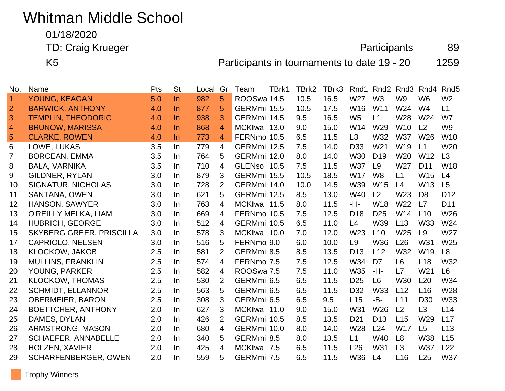# Whitman Middle School

01/18/2020

TD: Craig Krueger **Participants** 89

K5 **Participants in tournaments to date 19 - 20** 1259

| No.            | Name                            | Pts | <b>St</b> | Local | Gr             | Team        | TBrk1 | TBrk2 | TBrk3 | Rnd1            | Rnd <sub>2</sub> | Rnd <sub>3</sub> | Rnd4            | Rnd <sub>5</sub> |
|----------------|---------------------------------|-----|-----------|-------|----------------|-------------|-------|-------|-------|-----------------|------------------|------------------|-----------------|------------------|
| 1              | YOUNG, KEAGAN                   | 5.0 | $\ln$     | 982   | 5              | ROOSwa 14.5 |       | 10.5  | 16.5  | W27             | W <sub>3</sub>   | W <sub>9</sub>   | W <sub>6</sub>  | W <sub>2</sub>   |
| $\overline{2}$ | <b>BARWICK, ANTHONY</b>         | 4.0 | $\ln$     | 877   | 5              | GERMmi 15.5 |       | 10.5  | 17.5  | W16             | W11              | W24              | W <sub>4</sub>  | L1               |
| 3              | <b>TEMPLIN, THEODORIC</b>       | 4.0 | $\ln$     | 938   | 3              | GERMmi 14.5 |       | 9.5   | 16.5  | W <sub>5</sub>  | L1               | W28              | W <sub>24</sub> | W7               |
| 4              | <b>BRUNOW, MARISSA</b>          | 4.0 | $\ln$     | 868   | 4              | MCKIwa 13.0 |       | 9.0   | 15.0  | W14             | W29              | <b>W10</b>       | L2              | W <sub>9</sub>   |
| 5              | <b>CLARKE, ROWEN</b>            | 4.0 | $\ln$     | 773   | 4              | FERNmo 10.5 |       | 6.5   | 11.5  | L3              | W32              | <b>W37</b>       | W <sub>26</sub> | W <sub>10</sub>  |
| 6              | LOWE, LUKAS                     | 3.5 | In        | 779   | 4              | GERMmi 12.5 |       | 7.5   | 14.0  | D <sub>33</sub> | W <sub>21</sub>  | W <sub>19</sub>  | L1              | W <sub>20</sub>  |
| $\overline{7}$ | <b>BORCEAN, EMMA</b>            | 3.5 | In        | 764   | 5              | GERMmi 12.0 |       | 8.0   | 14.0  | W30             | D <sub>19</sub>  | W <sub>20</sub>  | W <sub>12</sub> | L3               |
| 8              | <b>BALA, VARNIKA</b>            | 3.5 | In        | 710   | 4              | GLENso 10.5 |       | 7.5   | 11.5  | <b>W37</b>      | L9               | W27              | D <sub>11</sub> | W18              |
| 9              | <b>GILDNER, RYLAN</b>           | 3.0 | In        | 879   | 3              | GERMmi 15.5 |       | 10.5  | 18.5  | W17             | W <sub>8</sub>   | L1               | W15             | L4               |
| 10             | <b>SIGNATUR, NICHOLAS</b>       | 3.0 | In        | 728   | 2              | GERMmi 14.0 |       | 10.0  | 14.5  | W39             | <b>W15</b>       | L4               | W <sub>13</sub> | L5               |
| 11             | <b>SANTANA, OWEN</b>            | 3.0 | In        | 621   | 5              | GERMmi 12.5 |       | 8.5   | 13.0  | W40             | L <sub>2</sub>   | W <sub>23</sub>  | D <sub>8</sub>  | D <sub>12</sub>  |
| 12             | <b>HANSON, SAWYER</b>           | 3.0 | In        | 763   | 4              | MCKIwa 11.5 |       | 8.0   | 11.5  | -H-             | W18              | W <sub>22</sub>  | L7              | D <sub>11</sub>  |
| 13             | O'REILLY MELKA, LIAM            | 3.0 | In        | 669   | 4              | FERNmo 10.5 |       | 7.5   | 12.5  | D <sub>18</sub> | D <sub>25</sub>  | W14              | L10             | W26              |
| 14             | HUBRICH, GEORGE                 | 3.0 | In        | 512   | 4              | GERMmi 10.5 |       | 6.5   | 11.0  | L4              | W39              | L13              | W33             | W24              |
| 15             | <b>SKYBERG GREER, PRISCILLA</b> | 3.0 | In        | 578   | 3              | MCKIwa 10.0 |       | 7.0   | 12.0  | W23             | L10              | W25              | L <sub>9</sub>  | W27              |
| 17             | <b>CAPRIOLO, NELSEN</b>         | 3.0 | In        | 516   | 5              | FERNmo 9.0  |       | 6.0   | 10.0  | L <sub>9</sub>  | <b>W36</b>       | L26              | W31             | W <sub>25</sub>  |
| 18             | <b>KLOCKOW, JAKOB</b>           | 2.5 | In        | 581   | $\overline{2}$ | GERMmi 8.5  |       | 8.5   | 13.5  | D <sub>13</sub> | L12              | W32              | W <sub>19</sub> | L <sub>8</sub>   |
| 19             | <b>MULLINS, FRANKLIN</b>        | 2.5 | In        | 574   | 4              | FERNmo 7.5  |       | 7.5   | 12.5  | W34             | D <sub>7</sub>   | L <sub>6</sub>   | L18             | W32              |
| 20             | YOUNG, PARKER                   | 2.5 | In.       | 582   | $\overline{4}$ | ROOSwa 7.5  |       | 7.5   | 11.0  | W35             | -H-              | L7               | W <sub>21</sub> | L <sub>6</sub>   |
| 21             | <b>KLOCKOW, THOMAS</b>          | 2.5 | In        | 530   | 2              | GERMmi 6.5  |       | 6.5   | 11.5  | D <sub>25</sub> | L6               | W30              | L20             | W34              |
| 22             | <b>SCHMIDT, ELLANNOR</b>        | 2.5 | In        | 563   | 5              | GERMmi 6.5  |       | 6.5   | 11.5  | D <sub>32</sub> | <b>W33</b>       | L12              | L16             | W28              |
| 23             | <b>OBERMEIER, BARON</b>         | 2.5 | In        | 308   | 3              | GERMmi 6.5  |       | 6.5   | 9.5   | L15             | -B-              | L11              | D <sub>30</sub> | W33              |
| 24             | <b>BOETTCHER, ANTHONY</b>       | 2.0 | In        | 627   | 3              | MCKIwa 11.0 |       | 9.0   | 15.0  | W31             | W <sub>26</sub>  | L <sub>2</sub>   | L3              | L14              |
| 25             | DAMES, DYLAN                    | 2.0 | In        | 426   | $\overline{2}$ | GERMmi 10.5 |       | 8.5   | 13.5  | D <sub>21</sub> | D <sub>13</sub>  | L15              | W29             | L17              |
| 26             | ARMSTRONG, MASON                | 2.0 | In        | 680   | $\overline{4}$ | GERMmi 10.0 |       | 8.0   | 14.0  | W28             | L24              | <b>W17</b>       | L5              | L13              |
| 27             | <b>SCHAEFER, ANNABELLE</b>      | 2.0 | In        | 340   | 5              | GERMmi 8.5  |       | 8.0   | 13.5  | L1              | <b>W40</b>       | L8               | <b>W38</b>      | L15              |
| 28             | <b>HOLZEN, XAVIER</b>           | 2.0 | In        | 425   | 4              | MCKIwa 7.5  |       | 6.5   | 11.5  | L26             | W31              | L3               | <b>W37</b>      | L22              |
| 29             | <b>SCHARFENBERGER, OWEN</b>     | 2.0 | In        | 559   | 5              | GERMmi 7.5  |       | 6.5   | 11.5  | W36             | L4               | L16              | L25             | <b>W37</b>       |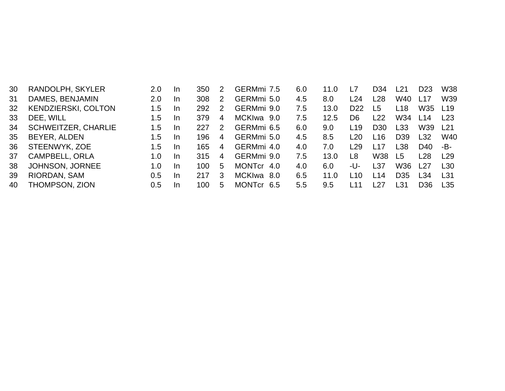| 30 | RANDOLPH, SKYLER           | 2.0 | -In       | 350 | 2 | GERMmi 7.5 | 6.0 | 11.0 | L7              | D34  | L21             | D <sub>23</sub> | <b>W38</b>      |
|----|----------------------------|-----|-----------|-----|---|------------|-----|------|-----------------|------|-----------------|-----------------|-----------------|
| 31 | DAMES, BENJAMIN            | 2.0 | -In       | 308 | 2 | GERMmi 5.0 | 4.5 | 8.0  | L24             | L28  | W40             | L <sub>17</sub> | W39             |
| 32 | <b>KENDZIERSKI, COLTON</b> | 1.5 | -In       | 292 | 2 | GERMmi 9.0 | 7.5 | 13.0 | D <sub>22</sub> | L5   | L18             | W35             | L <sub>19</sub> |
| 33 | DEE, WILL                  | 1.5 | -In       | 379 | 4 | MCKIwa 9.0 | 7.5 | 12.5 | D <sub>6</sub>  | L22  | W34             | L14             | L23             |
| 34 | <b>SCHWEITZER, CHARLIE</b> | 1.5 | -In       | 227 | 2 | GERMmi 6.5 | 6.0 | 9.0  | L19             | D30  | L33             | W39             | l 21            |
| 35 | BEYER, ALDEN               | 1.5 | -In       | 196 | 4 | GERMmi 5.0 | 4.5 | 8.5  | L20             | L16  | D <sub>39</sub> | L32             | W40             |
| 36 | STEENWYK, ZOE              | 1.5 | -In       | 165 | 4 | GERMmi 4.0 | 4.0 | 7.0  | L29             | l 17 | L38             | D40             | -В-             |
| 37 | <b>CAMPBELL, ORLA</b>      | 1.0 | <u>In</u> | 315 | 4 | GERMmi 9.0 | 7.5 | 13.0 | L <sub>8</sub>  | W38  | L5              | L28             | L <sub>29</sub> |
| 38 | <b>JOHNSON, JORNEE</b>     | 1.0 | -In       | 100 | 5 | MONTCr 4.0 | 4.0 | 6.0  | -U-             | L37  | W36             | l 27            | L30             |
| 39 | RIORDAN, SAM               | 0.5 | -In       | 217 | 3 | MCKIwa 8.0 | 6.5 | 11.0 | L10             | l 14 | D <sub>35</sub> | L34             | L <sub>31</sub> |
| 40 | THOMPSON, ZION             | 0.5 | -In       | 100 | 5 | MONTCr 6.5 | 5.5 | 9.5  | l 11            | ∟27  | L31             | D <sub>36</sub> | L35             |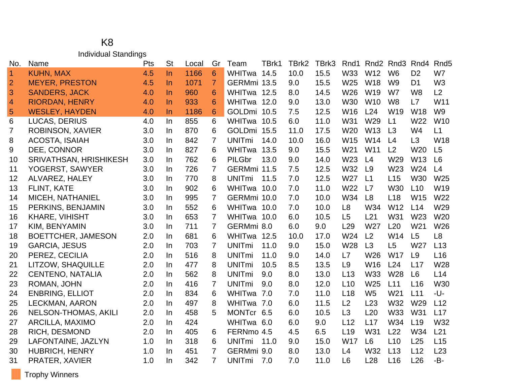### K8 Individual Standings

| No.            | Name                          | Pts | <b>St</b> | Local | Gr             | Team          | TBrk1 | TBrk2 | TBrk3 | Rnd1            | Rnd <sub>2</sub> | Rnd <sub>3</sub> | Rnd4            | Rnd <sub>5</sub> |
|----------------|-------------------------------|-----|-----------|-------|----------------|---------------|-------|-------|-------|-----------------|------------------|------------------|-----------------|------------------|
| $\overline{1}$ | <b>KUHN, MAX</b>              | 4.5 | $\ln$     | 1166  | 6              | WHITwa 14.5   |       | 10.0  | 15.5  | W33             | W12              | W <sub>6</sub>   | D <sub>2</sub>  | W7               |
| $\overline{2}$ | <b>MEYER, PRESTON</b>         | 4.5 | $\ln$     | 1071  | $\overline{7}$ | GERMmi 13.5   |       | 9.0   | 15.5  | W25             | <b>W18</b>       | W <sub>9</sub>   | D <sub>1</sub>  | W <sub>3</sub>   |
| 3              | <b>SANDERS, JACK</b>          | 4.0 | <b>In</b> | 960   | 6              | WHITwa 12.5   |       | 8.0   | 14.5  | W26             | W19              | W7               | W <sub>8</sub>  | L2               |
| $\overline{4}$ | <b>RIORDAN, HENRY</b>         | 4.0 | $\ln$     | 933   | 6              | WHITwa 12.0   |       | 9.0   | 13.0  | W30             | W <sub>10</sub>  | W <sub>8</sub>   | L7              | W11              |
| 5              | <b>WESLEY, HAYDEN</b>         | 4.0 | $\ln$     | 1186  | 6              | GOLDmi 10.5   |       | 7.5   | 12.5  | W16             | L24              | W <sub>19</sub>  | W <sub>18</sub> | W <sub>9</sub>   |
| 6              | <b>LUCAS, DERIUS</b>          | 4.0 | In.       | 855   | 6              | WHITwa 10.5   |       | 6.0   | 11.0  | W31             | W29              | L1               | W22             | W10              |
| 7              | <b>ROBINSON, XAVIER</b>       | 3.0 | In.       | 870   | 6              | GOLDmi 15.5   |       | 11.0  | 17.5  | W <sub>20</sub> | W <sub>13</sub>  | L3               | W <sub>4</sub>  | L1               |
| 8              | <b>ACOSTA, ISAIAH</b>         | 3.0 | In.       | 842   | $\overline{7}$ | <b>UNITmi</b> | 14.0  | 10.0  | 16.0  | W15             | W14              | L4               | L3              | <b>W18</b>       |
| 9              | DEE, CONNOR                   | 3.0 | In.       | 827   | 6              | WHITwa        | 13.5  | 9.0   | 15.5  | W <sub>21</sub> | W11              | L <sub>2</sub>   | W20             | L5               |
| 10             | <b>SRIVATHSAN, HRISHIKESH</b> | 3.0 | In.       | 762   | 6              | <b>PILGbr</b> | 13.0  | 9.0   | 14.0  | W23             | L4               | W29              | W13             | L <sub>6</sub>   |
| 11             | YOGERST, SAWYER               | 3.0 | In.       | 726   | $\overline{7}$ | GERMmi 11.5   |       | 7.5   | 12.5  | <b>W32</b>      | L9               | W23              | W24             | L4               |
| 12             | <b>ALVAREZ, HALEY</b>         | 3.0 | In        | 770   | 8              | <b>UNITmi</b> | 11.5  | 7.0   | 12.5  | W27             | L1               | L15              | <b>W30</b>      | W25              |
| 13             | FLINT, KATE                   | 3.0 | In.       | 902   | 6              | WHITwa 10.0   |       | 7.0   | 11.0  | W <sub>22</sub> | L7               | W30              | L10             | W <sub>19</sub>  |
| 14             | MICEH, NATHANIEL              | 3.0 | In        | 995   | 7              | GERMmi 10.0   |       | 7.0   | 10.0  | W34             | L8               | L <sub>18</sub>  | W15             | W22              |
| 15             | PERKINS, BENJAMIN             | 3.0 | In.       | 552   | 6              | WHITwa 10.0   |       | 7.0   | 10.0  | L <sub>8</sub>  | W34              | W12              | L14             | W29              |
| 16             | KHARE, VIHISHT                | 3.0 | In        | 653   | 7              | WHITwa 10.0   |       | 6.0   | 10.5  | L5              | L21              | W31              | W23             | W20              |
| 17             | KIM, BENYAMIN                 | 3.0 | In.       | 711   | 7              | GERMmi 8.0    |       | 6.0   | 9.0   | L29             | W27              | L20              | W <sub>21</sub> | W26              |
| 18             | <b>BOETTCHER, JAMESON</b>     | 2.0 | In        | 681   | 6              | WHITwa 12.5   |       | 10.0  | 17.0  | W24             | L2               | W14              | L5              | L <sub>8</sub>   |
| 19             | <b>GARCIA, JESUS</b>          | 2.0 | In.       | 703   | 7              | <b>UNITmi</b> | 11.0  | 9.0   | 15.0  | W28             | L3               | L <sub>5</sub>   | W27             | L13              |
| 20             | PEREZ, CECILIA                | 2.0 | In.       | 516   | 8              | <b>UNITmi</b> | 11.0  | 9.0   | 14.0  | L7              | W26              | W17              | L9              | L16              |
| 21             | LITZOW, SHAQUILLE             | 2.0 | In.       | 477   | 8              | <b>UNITmi</b> | 10.5  | 8.5   | 13.5  | L <sub>9</sub>  | W16              | L24              | L17             | W28              |
| 22             | <b>CENTENO, NATALIA</b>       | 2.0 | In.       | 562   | 8              | <b>UNITmi</b> | 9.0   | 8.0   | 13.0  | L13             | W33              | W28              | L <sub>6</sub>  | L14              |
| 23             | ROMAN, JOHN                   | 2.0 | In.       | 416   | 7              | <b>UNITmi</b> | 9.0   | 8.0   | 12.0  | L10             | W25              | L11              | L16             | W30              |
| 24             | <b>ENBRING, ELLIOT</b>        | 2.0 | In.       | 834   | 6              | WHITwa        | 7.0   | 7.0   | 11.0  | L18             | W <sub>5</sub>   | W21              | L11             | -U-              |
| 25             | LECKMAN, AARON                | 2.0 | In.       | 497   | 8              | WHITwa 7.0    |       | 6.0   | 11.5  | L2              | L23              | W32              | W29             | L12              |
| 26             | <b>NELSON-THOMAS, AKILI</b>   | 2.0 | In.       | 458   | 5              | MONTcr 6.5    |       | 6.0   | 10.5  | L3              | L20              | W33              | W31             | L17              |
| 27             | <b>ARCILLA, MAXIMO</b>        | 2.0 | In.       | 424   |                | WHITwa 6.0    |       | 6.0   | 9.0   | L12             | L17              | W34              | L19             | W32              |
| 28             | <b>RICH, DESMOND</b>          | 2.0 | In.       | 405   | 6              | FERNmo 4.5    |       | 4.5   | 6.5   | L19             | W31              | L22              | W34             | L21              |
| 29             | LAFONTAINE, JAZLYN            | 1.0 | In        | 318   | 6              | <b>UNITmi</b> | 11.0  | 9.0   | 15.0  | <b>W17</b>      | L <sub>6</sub>   | L10              | L25             | L15              |
| 30             | <b>HUBRICH, HENRY</b>         | 1.0 | In.       | 451   | $\overline{7}$ | GERMmi 9.0    |       | 8.0   | 13.0  | L4              | W32              | L13              | L12             | L23              |
| 31             | PRATER, XAVIER                | 1.0 | In        | 342   | $\overline{7}$ | <b>UNITmi</b> | 7.0   | 7.0   | 11.0  | L <sub>6</sub>  | L28              | L16              | L26             | -B-              |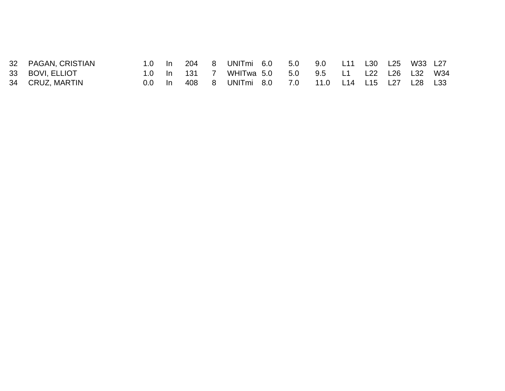| 32 PAGAN, CRISTIAN |           |              | 1.0 In 204 8 UNITmi 6.0 5.0 9.0 L11 L30 L25 W33 L27               |  |  |  |  |
|--------------------|-----------|--------------|-------------------------------------------------------------------|--|--|--|--|
| 33 BOVI, ELLIOT    |           | 1.0 In 131 7 | WHITwa 5.0      5.0      9.5      L1     L22    L26    L32    W34 |  |  |  |  |
| 34 CRUZ, MARTIN    | <u>In</u> |              | 408 8 UNITmi 8.0 7.0 11.0 L14 L15 L27 L28 L33                     |  |  |  |  |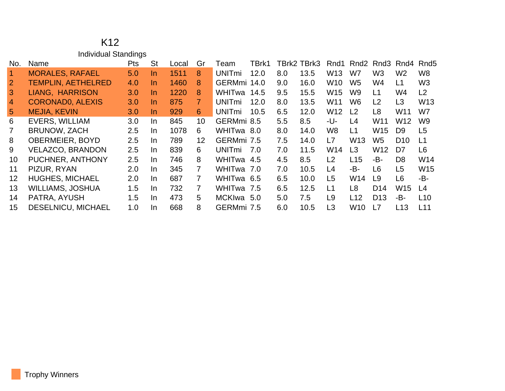### K12 Individual Standings

| No.               | Name                      | Pts | <b>St</b> | Local | Gr              | ⊺eam                     | TBrk1 |     | TBrk2 TBrk3 | Rnd1            | Rnd2            | Rnd3            | Rnd4            | Rnd <sub>5</sub> |
|-------------------|---------------------------|-----|-----------|-------|-----------------|--------------------------|-------|-----|-------------|-----------------|-----------------|-----------------|-----------------|------------------|
|                   | <b>MORALES, RAFAEL</b>    | 5.0 | In.       | 1511  | 8               | <b>UNITmi</b>            | 12.0  | 8.0 | 13.5        | W <sub>13</sub> | W7              | W <sub>3</sub>  | W <sub>2</sub>  | W <sub>8</sub>   |
| $\overline{2}$    | <b>TEMPLIN, AETHELRED</b> | 4.0 | In.       | 1460  | 8               | GERMmi 14.0              |       | 9.0 | 16.0        | W <sub>10</sub> | W <sub>5</sub>  | W4              | L1              | W <sub>3</sub>   |
| $\mathbf{3}$      | LIANG, HARRISON           | 3.0 | In.       | 1220  | 8               | WHITwa                   | 14.5  | 9.5 | 15.5        | W15             | W <sub>9</sub>  | L1              | W4              | L <sub>2</sub>   |
| $\overline{4}$    | <b>CORONADO, ALEXIS</b>   | 3.0 | In.       | 875   | $\mathbf{7}$    | <b>UNIT<sub>mi</sub></b> | 12.0  | 8.0 | 13.5        | W <sub>11</sub> | W <sub>6</sub>  | L2              | L <sub>3</sub>  | W <sub>13</sub>  |
| $5\phantom{.0}$   | <b>MEJIA, KEVIN</b>       | 3.0 | In.       | 929   | 6               | <b>UNIT<sub>mi</sub></b> | 10.5  | 6.5 | 12.0        | W <sub>12</sub> | L <sub>2</sub>  | L8              | W11             | W7               |
| 6                 | <b>EVERS, WILLIAM</b>     | 3.0 | In.       | 845   | 10 <sup>°</sup> | GERMmi 8.5               |       | 5.5 | 8.5         | -U-             | L4              | W <sub>11</sub> | W <sub>12</sub> | W <sub>9</sub>   |
|                   | <b>BRUNOW, ZACH</b>       | 2.5 | In.       | 1078  | 6               | WHITwa 8.0               |       | 8.0 | 14.0        | W <sub>8</sub>  | L1              | W15             | D <sub>9</sub>  | L <sub>5</sub>   |
| 8                 | <b>OBERMEIER, BOYD</b>    | 2.5 | In.       | 789.  | 12              | GERMmi 7.5               |       | 7.5 | 14.0        | L7              | W <sub>13</sub> | W <sub>5</sub>  | D <sub>10</sub> | L1               |
| 9                 | <b>VELAZCO, BRANDON</b>   | 2.5 | In.       | 839   | 6               | <b>UNIT<sub>mi</sub></b> | 7.0   | 7.0 | 11.5        | W14             | L <sub>3</sub>  | W <sub>12</sub> | D7              | L <sub>6</sub>   |
| 10                | PUCHNER, ANTHONY          | 2.5 | In.       | 746   | 8               | WHITwa 4.5               |       | 4.5 | 8.5         | L2              | L15             | -B-             | D <sub>8</sub>  | W14              |
| 11                | PIZUR, RYAN               | 2.0 | In.       | 345   | 7               | WHITwa 7.0               |       | 7.0 | 10.5        | L4              | -B-             | L6              | L <sub>5</sub>  | W15              |
| $12 \overline{ }$ | <b>HUGHES, MICHAEL</b>    | 2.0 | In.       | 687   | 7               | WHITwa 6.5               |       | 6.5 | 10.0        | L <sub>5</sub>  | W14             | L9              | L <sub>6</sub>  | -В-              |
| 13                | <b>WILLIAMS, JOSHUA</b>   | 1.5 | In.       | 732   | $\overline{7}$  | WHITwa 7.5               |       | 6.5 | 12.5        | L1              | L8              | D <sub>14</sub> | W <sub>15</sub> | L4               |
| 14                | PATRA, AYUSH              | 1.5 | In.       | 473   | 5               | MCKIwa                   | 5.0   | 5.0 | 7.5         | L <sub>9</sub>  | L12             | D <sub>13</sub> | -B-             | L10              |
| 15                | DESELNICU, MICHAEL        | 1.0 | In.       | 668   | 8               | GERMmi 7.5               |       | 6.0 | 10.5        | L3              | W <sub>10</sub> | L7              | L <sub>13</sub> | L11              |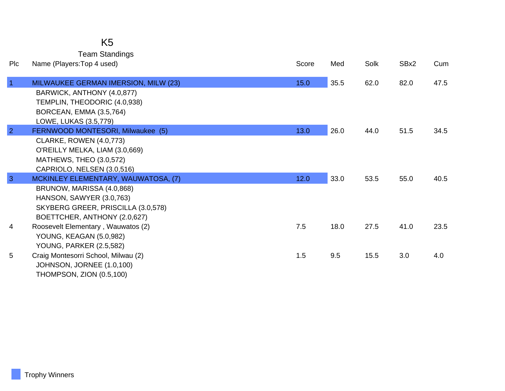## K5

Team Standings

| <b>PIc</b>     | Name (Players: Top 4 used)           | Score | Med  | Solk | SBx2 | Cum  |
|----------------|--------------------------------------|-------|------|------|------|------|
| $\overline{1}$ | MILWAUKEE GERMAN IMERSION, MILW (23) | 15.0  | 35.5 | 62.0 | 82.0 | 47.5 |
|                | BARWICK, ANTHONY (4.0,877)           |       |      |      |      |      |
|                | TEMPLIN, THEODORIC (4.0,938)         |       |      |      |      |      |
|                | BORCEAN, EMMA (3.5,764)              |       |      |      |      |      |
|                | LOWE, LUKAS (3.5,779)                |       |      |      |      |      |
| $\overline{2}$ | FERNWOOD MONTESORI, Milwaukee (5)    | 13.0  | 26.0 | 44.0 | 51.5 | 34.5 |
|                | <b>CLARKE, ROWEN (4.0,773)</b>       |       |      |      |      |      |
|                | O'REILLY MELKA, LIAM (3.0,669)       |       |      |      |      |      |
|                | MATHEWS, THEO (3.0,572)              |       |      |      |      |      |
|                | CAPRIOLO, NELSEN (3.0,516)           |       |      |      |      |      |
| $\overline{3}$ | MCKINLEY ELEMENTARY, WAUWATOSA, (7)  | 12.0  | 33.0 | 53.5 | 55.0 | 40.5 |
|                | BRUNOW, MARISSA (4.0,868)            |       |      |      |      |      |
|                | HANSON, SAWYER (3.0,763)             |       |      |      |      |      |
|                | SKYBERG GREER, PRISCILLA (3.0,578)   |       |      |      |      |      |
|                | BOETTCHER, ANTHONY (2.0,627)         |       |      |      |      |      |
| 4              | Roosevelt Elementary, Wauwatos (2)   | 7.5   | 18.0 | 27.5 | 41.0 | 23.5 |
|                | YOUNG, KEAGAN (5.0,982)              |       |      |      |      |      |
|                | <b>YOUNG, PARKER (2.5,582)</b>       |       |      |      |      |      |
| 5              | Craig Montesorri School, Milwau (2)  | 1.5   | 9.5  | 15.5 | 3.0  | 4.0  |
|                | JOHNSON, JORNEE (1.0,100)            |       |      |      |      |      |
|                | <b>THOMPSON, ZION (0.5,100)</b>      |       |      |      |      |      |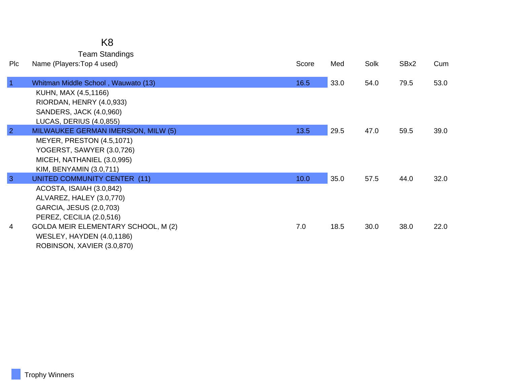#### K8 Team Standings

| <b>PIC</b>     | Name (Players: Top 4 used)                 | Score | Med  | Solk | SBx2 | Cum  |
|----------------|--------------------------------------------|-------|------|------|------|------|
| $\overline{1}$ | Whitman Middle School, Wauwato (13)        | 16.5  | 33.0 | 54.0 | 79.5 | 53.0 |
|                | KUHN, MAX (4.5,1166)                       |       |      |      |      |      |
|                | RIORDAN, HENRY (4.0,933)                   |       |      |      |      |      |
|                | SANDERS, JACK (4.0,960)                    |       |      |      |      |      |
|                | LUCAS, DERIUS (4.0,855)                    |       |      |      |      |      |
| $\overline{2}$ | <b>MILWAUKEE GERMAN IMERSION, MILW (5)</b> | 13.5  | 29.5 | 47.0 | 59.5 | 39.0 |
|                | <b>MEYER, PRESTON (4.5,1071)</b>           |       |      |      |      |      |
|                | YOGERST, SAWYER (3.0,726)                  |       |      |      |      |      |
|                | MICEH, NATHANIEL (3.0,995)                 |       |      |      |      |      |
|                | KIM, BENYAMIN (3.0,711)                    |       |      |      |      |      |
| $\overline{3}$ | UNITED COMMUNITY CENTER (11)               | 10.0  | 35.0 | 57.5 | 44.0 | 32.0 |
|                | ACOSTA, ISAIAH (3.0,842)                   |       |      |      |      |      |
|                | ALVAREZ, HALEY (3.0,770)                   |       |      |      |      |      |
|                | GARCIA, JESUS (2.0,703)                    |       |      |      |      |      |
|                | PEREZ, CECILIA (2.0,516)                   |       |      |      |      |      |
| 4              | GOLDA MEIR ELEMENTARY SCHOOL, M (2)        | 7.0   | 18.5 | 30.0 | 38.0 | 22.0 |
|                | <b>WESLEY, HAYDEN (4.0,1186)</b>           |       |      |      |      |      |
|                | ROBINSON, XAVIER (3.0,870)                 |       |      |      |      |      |